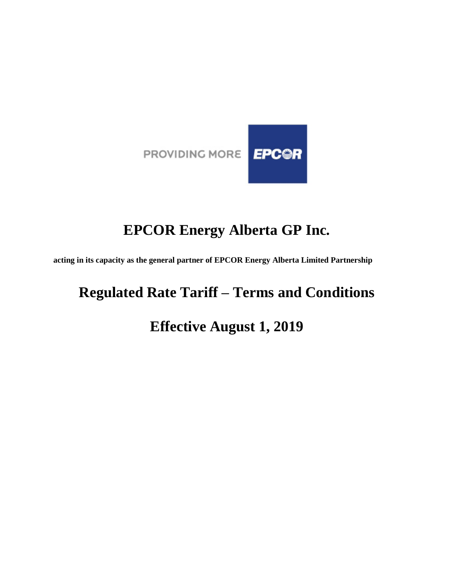

# **EPCOR Energy Alberta GP Inc.**

**acting in its capacity as the general partner of EPCOR Energy Alberta Limited Partnership**

# **Regulated Rate Tariff – Terms and Conditions**

# **Effective August 1, 2019**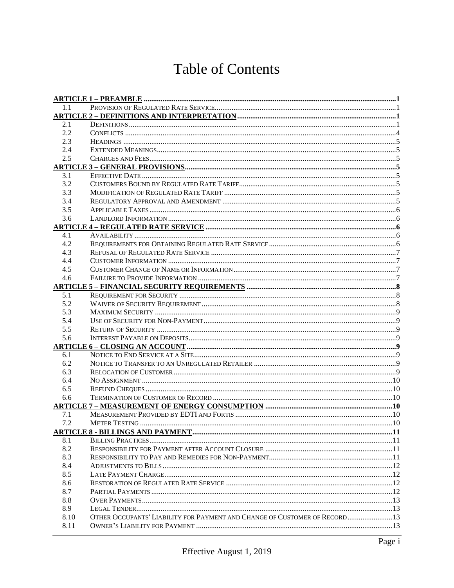# **Table of Contents**

| 1.1  |                                                                            |  |
|------|----------------------------------------------------------------------------|--|
|      |                                                                            |  |
| 2.1  |                                                                            |  |
| 2.2  |                                                                            |  |
| 2.3  |                                                                            |  |
| 2.4  |                                                                            |  |
| 2.5  |                                                                            |  |
|      |                                                                            |  |
| 3.1  |                                                                            |  |
| 3.2  |                                                                            |  |
| 3.3  |                                                                            |  |
| 3.4  |                                                                            |  |
| 3.5  |                                                                            |  |
| 3.6  |                                                                            |  |
|      |                                                                            |  |
| 4.1  |                                                                            |  |
| 4.2  |                                                                            |  |
| 4.3  |                                                                            |  |
| 4.4  |                                                                            |  |
| 4.5  |                                                                            |  |
| 4.6  |                                                                            |  |
|      |                                                                            |  |
| 5.1  |                                                                            |  |
| 5.2  |                                                                            |  |
| 5.3  |                                                                            |  |
| 5.4  |                                                                            |  |
| 5.5  |                                                                            |  |
| 5.6  |                                                                            |  |
|      |                                                                            |  |
| 6.1  |                                                                            |  |
| 6.2  |                                                                            |  |
| 6.3  |                                                                            |  |
| 6.4  |                                                                            |  |
| 6.5  |                                                                            |  |
| 6.6  |                                                                            |  |
|      |                                                                            |  |
| 7.1  |                                                                            |  |
| 7.2  |                                                                            |  |
|      |                                                                            |  |
| 8.1  |                                                                            |  |
| 8.2  |                                                                            |  |
| 8.3  |                                                                            |  |
| 8.4  |                                                                            |  |
| 8.5  |                                                                            |  |
| 8.6  |                                                                            |  |
| 8.7  |                                                                            |  |
| 8.8  |                                                                            |  |
| 8.9  |                                                                            |  |
| 8.10 | OTHER OCCUPANTS' LIABILITY FOR PAYMENT AND CHANGE OF CUSTOMER OF RECORD 13 |  |
| 8.11 |                                                                            |  |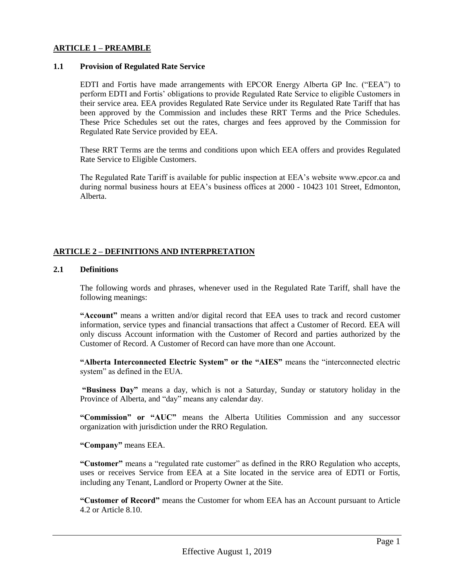#### **ARTICLE 1 – PREAMBLE**

#### **1.1 Provision of Regulated Rate Service**

EDTI and Fortis have made arrangements with EPCOR Energy Alberta GP Inc. ("EEA") to perform EDTI and Fortis' obligations to provide Regulated Rate Service to eligible Customers in their service area. EEA provides Regulated Rate Service under its Regulated Rate Tariff that has been approved by the Commission and includes these RRT Terms and the Price Schedules. These Price Schedules set out the rates, charges and fees approved by the Commission for Regulated Rate Service provided by EEA.

These RRT Terms are the terms and conditions upon which EEA offers and provides Regulated Rate Service to Eligible Customers.

The Regulated Rate Tariff is available for public inspection at EEA's website www.epcor.ca and during normal business hours at EEA's business offices at 2000 - 10423 101 Street, Edmonton, Alberta.

# **ARTICLE 2 – DEFINITIONS AND INTERPRETATION**

#### **2.1 Definitions**

The following words and phrases, whenever used in the Regulated Rate Tariff, shall have the following meanings:

**"Account"** means a written and/or digital record that EEA uses to track and record customer information, service types and financial transactions that affect a Customer of Record. EEA will only discuss Account information with the Customer of Record and parties authorized by the Customer of Record. A Customer of Record can have more than one Account.

**"Alberta Interconnected Electric System" or the "AIES"** means the "interconnected electric system" as defined in the EUA.

**"Business Day"** means a day, which is not a Saturday, Sunday or statutory holiday in the Province of Alberta, and "day" means any calendar day.

**"Commission" or "AUC"** means the Alberta Utilities Commission and any successor organization with jurisdiction under the RRO Regulation*.*

**"Company"** means EEA.

**"Customer"** means a "regulated rate customer" as defined in the RRO Regulation who accepts, uses or receives Service from EEA at a Site located in the service area of EDTI or Fortis, including any Tenant, Landlord or Property Owner at the Site.

**"Customer of Record"** means the Customer for whom EEA has an Account pursuant to Article 4.2 or Article 8.10.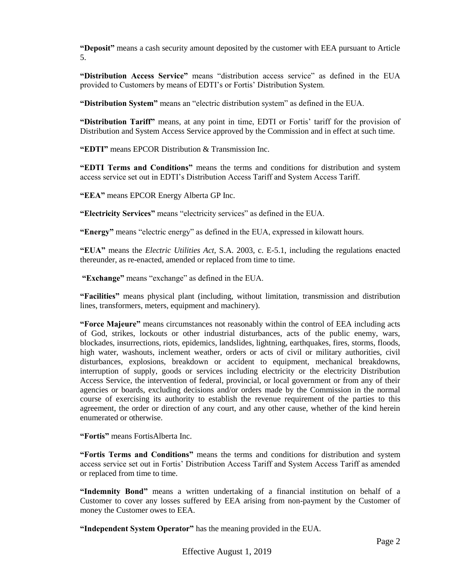**"Deposit"** means a cash security amount deposited by the customer with EEA pursuant to Article 5.

**"Distribution Access Service"** means "distribution access service" as defined in the EUA provided to Customers by means of EDTI's or Fortis' Distribution System.

**"Distribution System"** means an "electric distribution system" as defined in the EUA.

**"Distribution Tariff"** means, at any point in time, EDTI or Fortis' tariff for the provision of Distribution and System Access Service approved by the Commission and in effect at such time.

**"EDTI"** means EPCOR Distribution & Transmission Inc.

**"EDTI Terms and Conditions"** means the terms and conditions for distribution and system access service set out in EDTI's Distribution Access Tariff and System Access Tariff.

**"EEA"** means EPCOR Energy Alberta GP Inc.

**"Electricity Services"** means "electricity services" as defined in the EUA.

**"Energy"** means "electric energy" as defined in the EUA, expressed in kilowatt hours.

**"EUA"** means the *Electric Utilities Act,* S.A. 2003, c. E-5.1, including the regulations enacted thereunder, as re-enacted, amended or replaced from time to time.

**"Exchange"** means "exchange" as defined in the EUA.

**"Facilities"** means physical plant (including, without limitation, transmission and distribution lines, transformers, meters, equipment and machinery).

**"Force Majeure"** means circumstances not reasonably within the control of EEA including acts of God, strikes, lockouts or other industrial disturbances, acts of the public enemy, wars, blockades, insurrections, riots, epidemics, landslides, lightning, earthquakes, fires, storms, floods, high water, washouts, inclement weather, orders or acts of civil or military authorities, civil disturbances, explosions, breakdown or accident to equipment, mechanical breakdowns, interruption of supply, goods or services including electricity or the electricity Distribution Access Service, the intervention of federal, provincial, or local government or from any of their agencies or boards, excluding decisions and/or orders made by the Commission in the normal course of exercising its authority to establish the revenue requirement of the parties to this agreement, the order or direction of any court, and any other cause, whether of the kind herein enumerated or otherwise.

**"Fortis"** means FortisAlberta Inc.

**"Fortis Terms and Conditions"** means the terms and conditions for distribution and system access service set out in Fortis' Distribution Access Tariff and System Access Tariff as amended or replaced from time to time.

**"Indemnity Bond"** means a written undertaking of a financial institution on behalf of a Customer to cover any losses suffered by EEA arising from non-payment by the Customer of money the Customer owes to EEA.

**"Independent System Operator"** has the meaning provided in the EUA.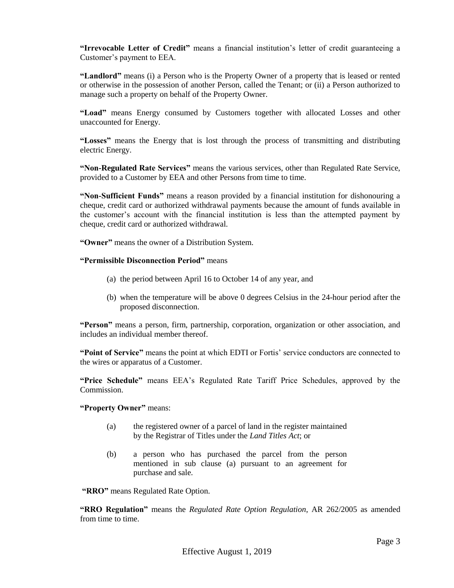**"Irrevocable Letter of Credit"** means a financial institution's letter of credit guaranteeing a Customer's payment to EEA.

**"Landlord"** means (i) a Person who is the Property Owner of a property that is leased or rented or otherwise in the possession of another Person, called the Tenant; or (ii) a Person authorized to manage such a property on behalf of the Property Owner.

**"Load"** means Energy consumed by Customers together with allocated Losses and other unaccounted for Energy.

**"Losses"** means the Energy that is lost through the process of transmitting and distributing electric Energy.

**"Non-Regulated Rate Services"** means the various services, other than Regulated Rate Service, provided to a Customer by EEA and other Persons from time to time.

**"Non-Sufficient Funds"** means a reason provided by a financial institution for dishonouring a cheque, credit card or authorized withdrawal payments because the amount of funds available in the customer's account with the financial institution is less than the attempted payment by cheque, credit card or authorized withdrawal.

**"Owner"** means the owner of a Distribution System.

#### **"Permissible Disconnection Period"** means

- (a) the period between April 16 to October 14 of any year, and
- (b) when the temperature will be above 0 degrees Celsius in the 24-hour period after the proposed disconnection.

**"Person"** means a person, firm, partnership, corporation, organization or other association, and includes an individual member thereof.

**"Point of Service"** means the point at which EDTI or Fortis' service conductors are connected to the wires or apparatus of a Customer.

**"Price Schedule"** means EEA's Regulated Rate Tariff Price Schedules, approved by the Commission.

**"Property Owner"** means:

- (a) the registered owner of a parcel of land in the register maintained by the Registrar of Titles under the *Land Titles Act*; or
- (b) a person who has purchased the parcel from the person mentioned in sub clause (a) pursuant to an agreement for purchase and sale.

**"RRO"** means Regulated Rate Option.

**"RRO Regulation"** means the *Regulated Rate Option Regulation*, AR 262/2005 as amended from time to time.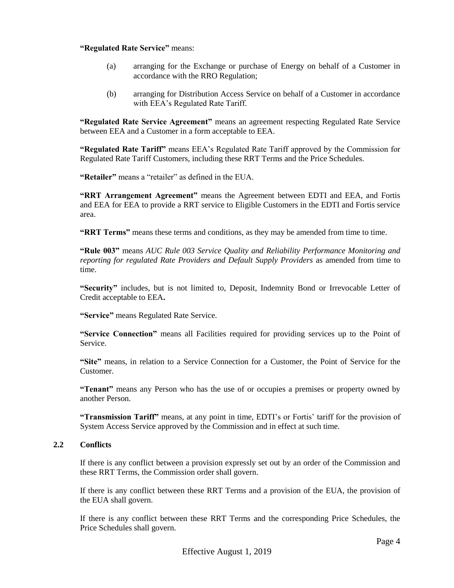#### **"Regulated Rate Service"** means:

- (a) arranging for the Exchange or purchase of Energy on behalf of a Customer in accordance with the RRO Regulation;
- (b) arranging for Distribution Access Service on behalf of a Customer in accordance with EEA's Regulated Rate Tariff.

**"Regulated Rate Service Agreement"** means an agreement respecting Regulated Rate Service between EEA and a Customer in a form acceptable to EEA.

**"Regulated Rate Tariff"** means EEA's Regulated Rate Tariff approved by the Commission for Regulated Rate Tariff Customers, including these RRT Terms and the Price Schedules.

**"Retailer"** means a "retailer" as defined in the EUA.

**"RRT Arrangement Agreement"** means the Agreement between EDTI and EEA, and Fortis and EEA for EEA to provide a RRT service to Eligible Customers in the EDTI and Fortis service area.

**"RRT Terms"** means these terms and conditions, as they may be amended from time to time.

**"Rule 003"** means *AUC Rule 003 Service Quality and Reliability Performance Monitoring and reporting for regulated Rate Providers and Default Supply Providers* as amended from time to time.

**"Security"** includes, but is not limited to, Deposit, Indemnity Bond or Irrevocable Letter of Credit acceptable to EEA**.**

**"Service"** means Regulated Rate Service.

**"Service Connection"** means all Facilities required for providing services up to the Point of Service.

**"Site"** means, in relation to a Service Connection for a Customer, the Point of Service for the Customer.

**"Tenant"** means any Person who has the use of or occupies a premises or property owned by another Person.

**"Transmission Tariff"** means, at any point in time, EDTI's or Fortis' tariff for the provision of System Access Service approved by the Commission and in effect at such time.

# **2.2 Conflicts**

If there is any conflict between a provision expressly set out by an order of the Commission and these RRT Terms, the Commission order shall govern.

If there is any conflict between these RRT Terms and a provision of the EUA, the provision of the EUA shall govern.

If there is any conflict between these RRT Terms and the corresponding Price Schedules, the Price Schedules shall govern.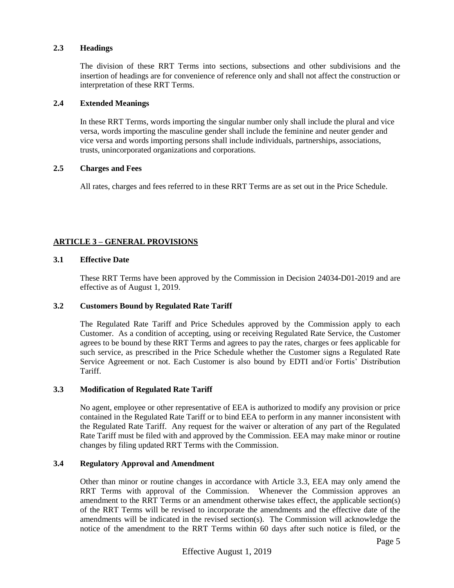#### **2.3 Headings**

The division of these RRT Terms into sections, subsections and other subdivisions and the insertion of headings are for convenience of reference only and shall not affect the construction or interpretation of these RRT Terms.

#### **2.4 Extended Meanings**

In these RRT Terms, words importing the singular number only shall include the plural and vice versa, words importing the masculine gender shall include the feminine and neuter gender and vice versa and words importing persons shall include individuals, partnerships, associations, trusts, unincorporated organizations and corporations.

# **2.5 Charges and Fees**

All rates, charges and fees referred to in these RRT Terms are as set out in the Price Schedule.

# **ARTICLE 3 – GENERAL PROVISIONS**

# **3.1 Effective Date**

These RRT Terms have been approved by the Commission in Decision 24034-D01-2019 and are effective as of August 1, 2019.

# **3.2 Customers Bound by Regulated Rate Tariff**

The Regulated Rate Tariff and Price Schedules approved by the Commission apply to each Customer. As a condition of accepting, using or receiving Regulated Rate Service, the Customer agrees to be bound by these RRT Terms and agrees to pay the rates, charges or fees applicable for such service, as prescribed in the Price Schedule whether the Customer signs a Regulated Rate Service Agreement or not. Each Customer is also bound by EDTI and/or Fortis' Distribution Tariff.

# **3.3 Modification of Regulated Rate Tariff**

No agent, employee or other representative of EEA is authorized to modify any provision or price contained in the Regulated Rate Tariff or to bind EEA to perform in any manner inconsistent with the Regulated Rate Tariff. Any request for the waiver or alteration of any part of the Regulated Rate Tariff must be filed with and approved by the Commission. EEA may make minor or routine changes by filing updated RRT Terms with the Commission.

# **3.4 Regulatory Approval and Amendment**

Other than minor or routine changes in accordance with Article 3.3, EEA may only amend the RRT Terms with approval of the Commission. Whenever the Commission approves an amendment to the RRT Terms or an amendment otherwise takes effect, the applicable section(s) of the RRT Terms will be revised to incorporate the amendments and the effective date of the amendments will be indicated in the revised section(s). The Commission will acknowledge the notice of the amendment to the RRT Terms within 60 days after such notice is filed, or the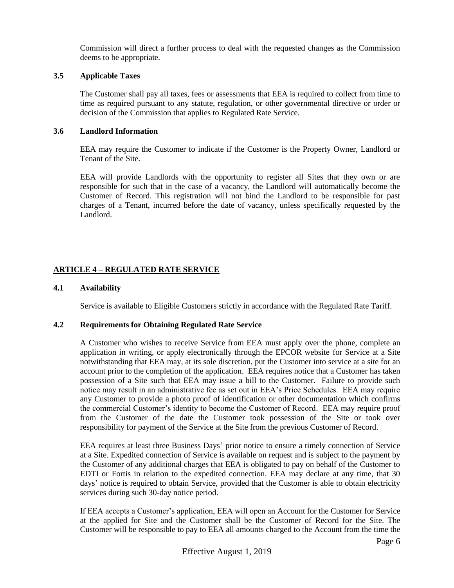Commission will direct a further process to deal with the requested changes as the Commission deems to be appropriate.

# **3.5 Applicable Taxes**

The Customer shall pay all taxes, fees or assessments that EEA is required to collect from time to time as required pursuant to any statute, regulation, or other governmental directive or order or decision of the Commission that applies to Regulated Rate Service.

# **3.6 Landlord Information**

EEA may require the Customer to indicate if the Customer is the Property Owner, Landlord or Tenant of the Site.

EEA will provide Landlords with the opportunity to register all Sites that they own or are responsible for such that in the case of a vacancy, the Landlord will automatically become the Customer of Record. This registration will not bind the Landlord to be responsible for past charges of a Tenant, incurred before the date of vacancy, unless specifically requested by the Landlord.

# **ARTICLE 4 – REGULATED RATE SERVICE**

# **4.1 Availability**

Service is available to Eligible Customers strictly in accordance with the Regulated Rate Tariff.

# **4.2 Requirements for Obtaining Regulated Rate Service**

A Customer who wishes to receive Service from EEA must apply over the phone, complete an application in writing, or apply electronically through the EPCOR website for Service at a Site notwithstanding that EEA may, at its sole discretion, put the Customer into service at a site for an account prior to the completion of the application. EEA requires notice that a Customer has taken possession of a Site such that EEA may issue a bill to the Customer. Failure to provide such notice may result in an administrative fee as set out in EEA's Price Schedules. EEA may require any Customer to provide a photo proof of identification or other documentation which confirms the commercial Customer's identity to become the Customer of Record. EEA may require proof from the Customer of the date the Customer took possession of the Site or took over responsibility for payment of the Service at the Site from the previous Customer of Record.

EEA requires at least three Business Days' prior notice to ensure a timely connection of Service at a Site. Expedited connection of Service is available on request and is subject to the payment by the Customer of any additional charges that EEA is obligated to pay on behalf of the Customer to EDTI or Fortis in relation to the expedited connection. EEA may declare at any time, that 30 days' notice is required to obtain Service, provided that the Customer is able to obtain electricity services during such 30-day notice period.

If EEA accepts a Customer's application, EEA will open an Account for the Customer for Service at the applied for Site and the Customer shall be the Customer of Record for the Site. The Customer will be responsible to pay to EEA all amounts charged to the Account from the time the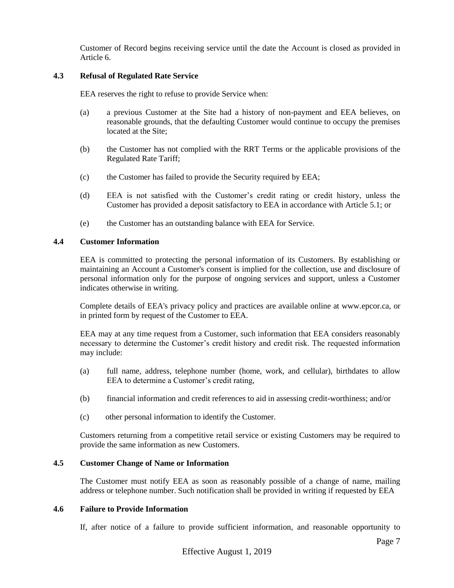Customer of Record begins receiving service until the date the Account is closed as provided in Article 6.

# **4.3 Refusal of Regulated Rate Service**

EEA reserves the right to refuse to provide Service when:

- (a) a previous Customer at the Site had a history of non-payment and EEA believes, on reasonable grounds, that the defaulting Customer would continue to occupy the premises located at the Site;
- (b) the Customer has not complied with the RRT Terms or the applicable provisions of the Regulated Rate Tariff;
- (c) the Customer has failed to provide the Security required by EEA;
- (d) EEA is not satisfied with the Customer's credit rating or credit history, unless the Customer has provided a deposit satisfactory to EEA in accordance with Article 5.1; or
- (e) the Customer has an outstanding balance with EEA for Service.

# **4.4 Customer Information**

EEA is committed to protecting the personal information of its Customers. By establishing or maintaining an Account a Customer's consent is implied for the collection, use and disclosure of personal information only for the purpose of ongoing services and support, unless a Customer indicates otherwise in writing.

Complete details of EEA's privacy policy and practices are available online at www.epcor.ca, or in printed form by request of the Customer to EEA.

EEA may at any time request from a Customer, such information that EEA considers reasonably necessary to determine the Customer's credit history and credit risk. The requested information may include:

- (a) full name, address, telephone number (home, work, and cellular), birthdates to allow EEA to determine a Customer's credit rating,
- (b) financial information and credit references to aid in assessing credit-worthiness; and/or
- (c) other personal information to identify the Customer.

Customers returning from a competitive retail service or existing Customers may be required to provide the same information as new Customers.

# **4.5 Customer Change of Name or Information**

The Customer must notify EEA as soon as reasonably possible of a change of name, mailing address or telephone number. Such notification shall be provided in writing if requested by EEA

# **4.6 Failure to Provide Information**

If, after notice of a failure to provide sufficient information, and reasonable opportunity to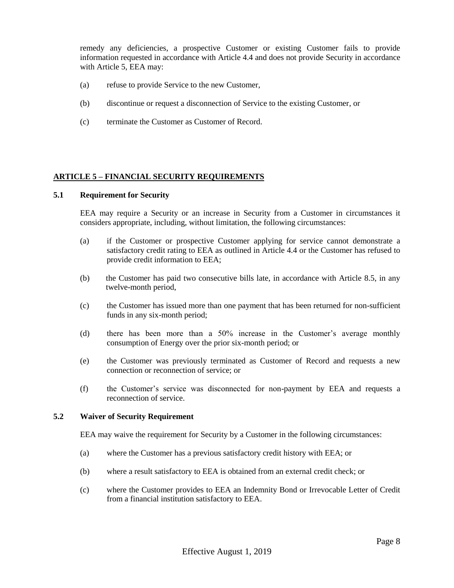remedy any deficiencies, a prospective Customer or existing Customer fails to provide information requested in accordance with Article 4.4 and does not provide Security in accordance with Article 5, EEA may:

- (a) refuse to provide Service to the new Customer,
- (b) discontinue or request a disconnection of Service to the existing Customer, or
- (c) terminate the Customer as Customer of Record.

#### **ARTICLE 5 – FINANCIAL SECURITY REQUIREMENTS**

#### **5.1 Requirement for Security**

EEA may require a Security or an increase in Security from a Customer in circumstances it considers appropriate, including, without limitation, the following circumstances:

- (a) if the Customer or prospective Customer applying for service cannot demonstrate a satisfactory credit rating to EEA as outlined in Article 4.4 or the Customer has refused to provide credit information to EEA;
- (b) the Customer has paid two consecutive bills late, in accordance with Article 8.5, in any twelve-month period,
- (c) the Customer has issued more than one payment that has been returned for non-sufficient funds in any six-month period;
- (d) there has been more than a 50% increase in the Customer's average monthly consumption of Energy over the prior six-month period; or
- (e) the Customer was previously terminated as Customer of Record and requests a new connection or reconnection of service; or
- (f) the Customer's service was disconnected for non-payment by EEA and requests a reconnection of service.

#### **5.2 Waiver of Security Requirement**

EEA may waive the requirement for Security by a Customer in the following circumstances:

- (a) where the Customer has a previous satisfactory credit history with EEA; or
- (b) where a result satisfactory to EEA is obtained from an external credit check; or
- (c) where the Customer provides to EEA an Indemnity Bond or Irrevocable Letter of Credit from a financial institution satisfactory to EEA.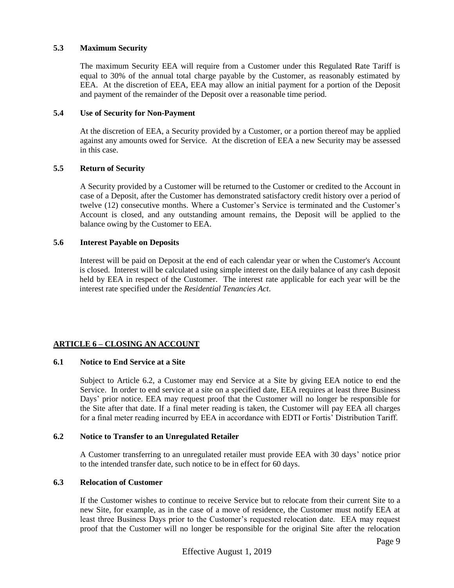# **5.3 Maximum Security**

The maximum Security EEA will require from a Customer under this Regulated Rate Tariff is equal to 30% of the annual total charge payable by the Customer, as reasonably estimated by EEA. At the discretion of EEA, EEA may allow an initial payment for a portion of the Deposit and payment of the remainder of the Deposit over a reasonable time period.

#### **5.4 Use of Security for Non-Payment**

At the discretion of EEA, a Security provided by a Customer, or a portion thereof may be applied against any amounts owed for Service. At the discretion of EEA a new Security may be assessed in this case.

# **5.5 Return of Security**

A Security provided by a Customer will be returned to the Customer or credited to the Account in case of a Deposit, after the Customer has demonstrated satisfactory credit history over a period of twelve (12) consecutive months. Where a Customer's Service is terminated and the Customer's Account is closed, and any outstanding amount remains, the Deposit will be applied to the balance owing by the Customer to EEA.

#### **5.6 Interest Payable on Deposits**

Interest will be paid on Deposit at the end of each calendar year or when the Customer's Account is closed. Interest will be calculated using simple interest on the daily balance of any cash deposit held by EEA in respect of the Customer. The interest rate applicable for each year will be the interest rate specified under the *Residential Tenancies Act*.

# **ARTICLE 6 – CLOSING AN ACCOUNT**

# **6.1 Notice to End Service at a Site**

Subject to Article 6.2, a Customer may end Service at a Site by giving EEA notice to end the Service. In order to end service at a site on a specified date, EEA requires at least three Business Days' prior notice. EEA may request proof that the Customer will no longer be responsible for the Site after that date. If a final meter reading is taken, the Customer will pay EEA all charges for a final meter reading incurred by EEA in accordance with EDTI or Fortis' Distribution Tariff.

# **6.2 Notice to Transfer to an Unregulated Retailer**

A Customer transferring to an unregulated retailer must provide EEA with 30 days' notice prior to the intended transfer date, such notice to be in effect for 60 days.

# **6.3 Relocation of Customer**

If the Customer wishes to continue to receive Service but to relocate from their current Site to a new Site, for example, as in the case of a move of residence, the Customer must notify EEA at least three Business Days prior to the Customer's requested relocation date. EEA may request proof that the Customer will no longer be responsible for the original Site after the relocation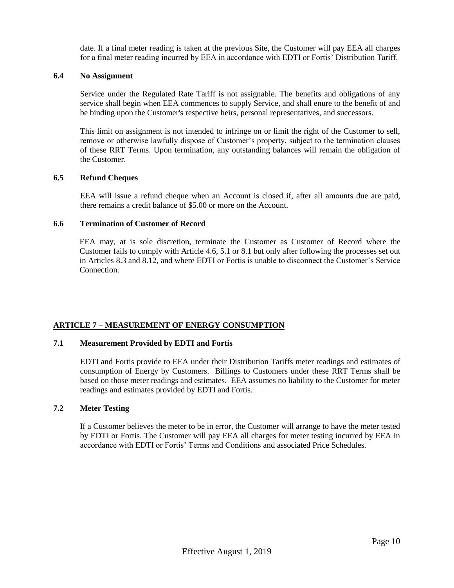date. If a final meter reading is taken at the previous Site, the Customer will pay EEA all charges for a final meter reading incurred by EEA in accordance with EDTI or Fortis' Distribution Tariff.

#### **6.4 No Assignment**

Service under the Regulated Rate Tariff is not assignable. The benefits and obligations of any service shall begin when EEA commences to supply Service, and shall enure to the benefit of and be binding upon the Customer's respective heirs, personal representatives, and successors.

This limit on assignment is not intended to infringe on or limit the right of the Customer to sell, remove or otherwise lawfully dispose of Customer's property, subject to the termination clauses of these RRT Terms. Upon termination, any outstanding balances will remain the obligation of the Customer.

# **6.5 Refund Cheques**

EEA will issue a refund cheque when an Account is closed if, after all amounts due are paid, there remains a credit balance of \$5.00 or more on the Account.

#### **6.6 Termination of Customer of Record**

EEA may, at is sole discretion, terminate the Customer as Customer of Record where the Customer fails to comply with Article 4.6, 5.1 or 8.1 but only after following the processes set out in Articles 8.3 and 8.12, and where EDTI or Fortis is unable to disconnect the Customer's Service Connection.

# **ARTICLE 7 – MEASUREMENT OF ENERGY CONSUMPTION**

#### **7.1 Measurement Provided by EDTI and Fortis**

EDTI and Fortis provide to EEA under their Distribution Tariffs meter readings and estimates of consumption of Energy by Customers. Billings to Customers under these RRT Terms shall be based on those meter readings and estimates. EEA assumes no liability to the Customer for meter readings and estimates provided by EDTI and Fortis.

# **7.2 Meter Testing**

If a Customer believes the meter to be in error, the Customer will arrange to have the meter tested by EDTI or Fortis. The Customer will pay EEA all charges for meter testing incurred by EEA in accordance with EDTI or Fortis' Terms and Conditions and associated Price Schedules.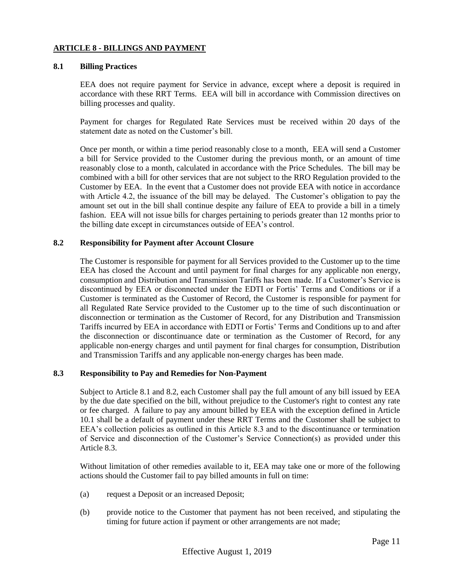#### **ARTICLE 8 - BILLINGS AND PAYMENT**

#### **8.1 Billing Practices**

EEA does not require payment for Service in advance, except where a deposit is required in accordance with these RRT Terms. EEA will bill in accordance with Commission directives on billing processes and quality.

Payment for charges for Regulated Rate Services must be received within 20 days of the statement date as noted on the Customer's bill.

Once per month, or within a time period reasonably close to a month, EEA will send a Customer a bill for Service provided to the Customer during the previous month, or an amount of time reasonably close to a month, calculated in accordance with the Price Schedules. The bill may be combined with a bill for other services that are not subject to the RRO Regulation provided to the Customer by EEA. In the event that a Customer does not provide EEA with notice in accordance with Article 4.2, the issuance of the bill may be delayed. The Customer's obligation to pay the amount set out in the bill shall continue despite any failure of EEA to provide a bill in a timely fashion. EEA will not issue bills for charges pertaining to periods greater than 12 months prior to the billing date except in circumstances outside of EEA's control.

# **8.2 Responsibility for Payment after Account Closure**

The Customer is responsible for payment for all Services provided to the Customer up to the time EEA has closed the Account and until payment for final charges for any applicable non energy, consumption and Distribution and Transmission Tariffs has been made. If a Customer's Service is discontinued by EEA or disconnected under the EDTI or Fortis' Terms and Conditions or if a Customer is terminated as the Customer of Record, the Customer is responsible for payment for all Regulated Rate Service provided to the Customer up to the time of such discontinuation or disconnection or termination as the Customer of Record, for any Distribution and Transmission Tariffs incurred by EEA in accordance with EDTI or Fortis' Terms and Conditions up to and after the disconnection or discontinuance date or termination as the Customer of Record, for any applicable non-energy charges and until payment for final charges for consumption, Distribution and Transmission Tariffs and any applicable non-energy charges has been made.

# **8.3 Responsibility to Pay and Remedies for Non-Payment**

Subject to Article 8.1 and 8.2, each Customer shall pay the full amount of any bill issued by EEA by the due date specified on the bill, without prejudice to the Customer's right to contest any rate or fee charged. A failure to pay any amount billed by EEA with the exception defined in Article 10.1 shall be a default of payment under these RRT Terms and the Customer shall be subject to EEA's collection policies as outlined in this Article 8.3 and to the discontinuance or termination of Service and disconnection of the Customer's Service Connection(s) as provided under this Article 8.3.

Without limitation of other remedies available to it, EEA may take one or more of the following actions should the Customer fail to pay billed amounts in full on time:

- (a) request a Deposit or an increased Deposit;
- (b) provide notice to the Customer that payment has not been received, and stipulating the timing for future action if payment or other arrangements are not made;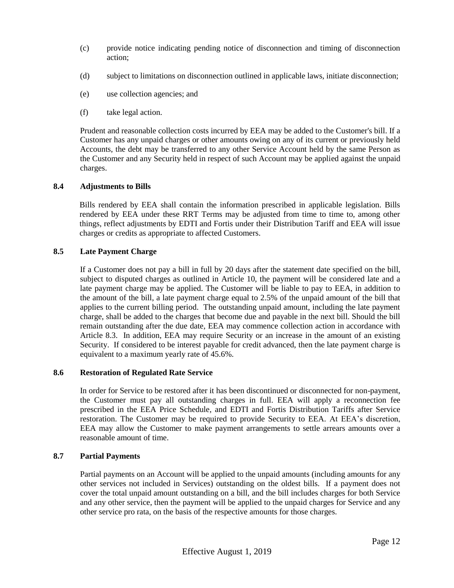- (c) provide notice indicating pending notice of disconnection and timing of disconnection action;
- (d) subject to limitations on disconnection outlined in applicable laws, initiate disconnection;
- (e) use collection agencies; and
- (f) take legal action.

Prudent and reasonable collection costs incurred by EEA may be added to the Customer's bill. If a Customer has any unpaid charges or other amounts owing on any of its current or previously held Accounts, the debt may be transferred to any other Service Account held by the same Person as the Customer and any Security held in respect of such Account may be applied against the unpaid charges.

# **8.4 Adjustments to Bills**

Bills rendered by EEA shall contain the information prescribed in applicable legislation. Bills rendered by EEA under these RRT Terms may be adjusted from time to time to, among other things, reflect adjustments by EDTI and Fortis under their Distribution Tariff and EEA will issue charges or credits as appropriate to affected Customers.

# **8.5 Late Payment Charge**

If a Customer does not pay a bill in full by 20 days after the statement date specified on the bill, subject to disputed charges as outlined in Article 10, the payment will be considered late and a late payment charge may be applied. The Customer will be liable to pay to EEA, in addition to the amount of the bill, a late payment charge equal to 2.5% of the unpaid amount of the bill that applies to the current billing period. The outstanding unpaid amount, including the late payment charge, shall be added to the charges that become due and payable in the next bill. Should the bill remain outstanding after the due date, EEA may commence collection action in accordance with Article 8.3. In addition, EEA may require Security or an increase in the amount of an existing Security. If considered to be interest payable for credit advanced, then the late payment charge is equivalent to a maximum yearly rate of 45.6%.

# **8.6 Restoration of Regulated Rate Service**

In order for Service to be restored after it has been discontinued or disconnected for non-payment, the Customer must pay all outstanding charges in full. EEA will apply a reconnection fee prescribed in the EEA Price Schedule, and EDTI and Fortis Distribution Tariffs after Service restoration. The Customer may be required to provide Security to EEA. At EEA's discretion, EEA may allow the Customer to make payment arrangements to settle arrears amounts over a reasonable amount of time.

# **8.7 Partial Payments**

Partial payments on an Account will be applied to the unpaid amounts (including amounts for any other services not included in Services) outstanding on the oldest bills. If a payment does not cover the total unpaid amount outstanding on a bill, and the bill includes charges for both Service and any other service, then the payment will be applied to the unpaid charges for Service and any other service pro rata, on the basis of the respective amounts for those charges.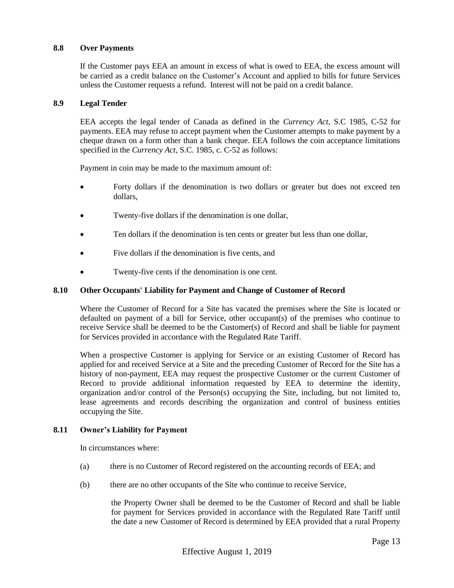# **8.8 Over Payments**

If the Customer pays EEA an amount in excess of what is owed to EEA, the excess amount will be carried as a credit balance on the Customer's Account and applied to bills for future Services unless the Customer requests a refund. Interest will not be paid on a credit balance.

# **8.9 Legal Tender**

EEA accepts the legal tender of Canada as defined in the *Currency Act,* S.C 1985, C-52 for payments. EEA may refuse to accept payment when the Customer attempts to make payment by a cheque drawn on a form other than a bank cheque. EEA follows the coin acceptance limitations specified in the *Currency Act*, S.C. 1985, c. C-52 as follows:

Payment in coin may be made to the maximum amount of:

- Forty dollars if the denomination is two dollars or greater but does not exceed ten dollars,
- Twenty-five dollars if the denomination is one dollar,
- Ten dollars if the denomination is ten cents or greater but less than one dollar,
- Five dollars if the denomination is five cents, and
- Twenty-five cents if the denomination is one cent.

# **8.10 Other Occupants' Liability for Payment and Change of Customer of Record**

Where the Customer of Record for a Site has vacated the premises where the Site is located or defaulted on payment of a bill for Service, other occupant(s) of the premises who continue to receive Service shall be deemed to be the Customer(s) of Record and shall be liable for payment for Services provided in accordance with the Regulated Rate Tariff.

When a prospective Customer is applying for Service or an existing Customer of Record has applied for and received Service at a Site and the preceding Customer of Record for the Site has a history of non-payment, EEA may request the prospective Customer or the current Customer of Record to provide additional information requested by EEA to determine the identity, organization and/or control of the Person(s) occupying the Site, including, but not limited to, lease agreements and records describing the organization and control of business entities occupying the Site.

# **8.11 Owner's Liability for Payment**

In circumstances where:

- (a) there is no Customer of Record registered on the accounting records of EEA; and
- (b) there are no other occupants of the Site who continue to receive Service,

the Property Owner shall be deemed to be the Customer of Record and shall be liable for payment for Services provided in accordance with the Regulated Rate Tariff until the date a new Customer of Record is determined by EEA provided that a rural Property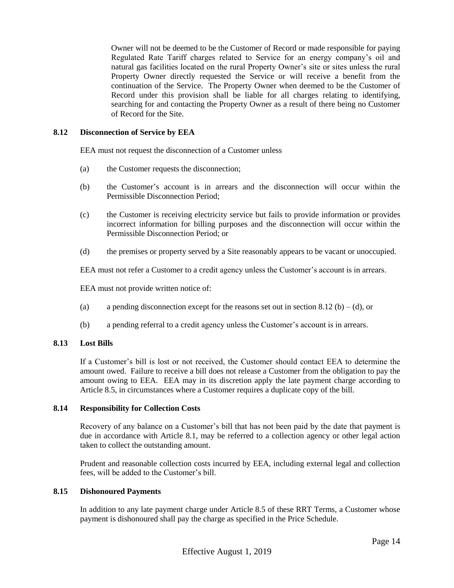Owner will not be deemed to be the Customer of Record or made responsible for paying Regulated Rate Tariff charges related to Service for an energy company's oil and natural gas facilities located on the rural Property Owner's site or sites unless the rural Property Owner directly requested the Service or will receive a benefit from the continuation of the Service. The Property Owner when deemed to be the Customer of Record under this provision shall be liable for all charges relating to identifying, searching for and contacting the Property Owner as a result of there being no Customer of Record for the Site.

# **8.12 Disconnection of Service by EEA**

EEA must not request the disconnection of a Customer unless

- (a) the Customer requests the disconnection;
- (b) the Customer's account is in arrears and the disconnection will occur within the Permissible Disconnection Period;
- (c) the Customer is receiving electricity service but fails to provide information or provides incorrect information for billing purposes and the disconnection will occur within the Permissible Disconnection Period; or
- (d) the premises or property served by a Site reasonably appears to be vacant or unoccupied.

EEA must not refer a Customer to a credit agency unless the Customer's account is in arrears.

EEA must not provide written notice of:

- (a) a pending disconnection except for the reasons set out in section 8.12 (b) (d), or
- (b) a pending referral to a credit agency unless the Customer's account is in arrears.

#### **8.13 Lost Bills**

If a Customer's bill is lost or not received, the Customer should contact EEA to determine the amount owed. Failure to receive a bill does not release a Customer from the obligation to pay the amount owing to EEA. EEA may in its discretion apply the late payment charge according to Article 8.5, in circumstances where a Customer requires a duplicate copy of the bill.

# **8.14 Responsibility for Collection Costs**

Recovery of any balance on a Customer's bill that has not been paid by the date that payment is due in accordance with Article 8.1, may be referred to a collection agency or other legal action taken to collect the outstanding amount.

Prudent and reasonable collection costs incurred by EEA, including external legal and collection fees, will be added to the Customer's bill.

# **8.15 Dishonoured Payments**

In addition to any late payment charge under Article 8.5 of these RRT Terms, a Customer whose payment is dishonoured shall pay the charge as specified in the Price Schedule.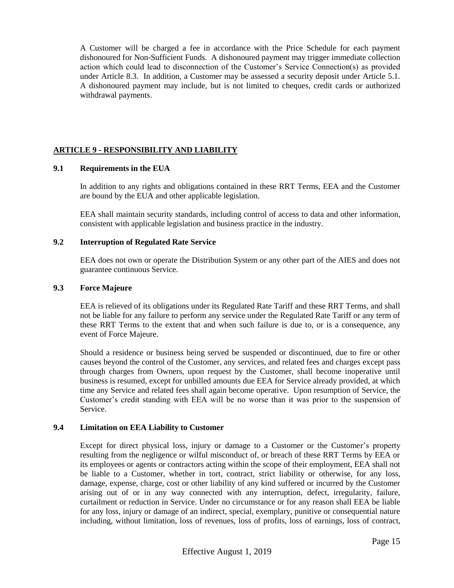A Customer will be charged a fee in accordance with the Price Schedule for each payment dishonoured for Non-Sufficient Funds. A dishonoured payment may trigger immediate collection action which could lead to disconnection of the Customer's Service Connection(s) as provided under Article 8.3. In addition, a Customer may be assessed a security deposit under Article 5.1. A dishonoured payment may include, but is not limited to cheques, credit cards or authorized withdrawal payments.

# **ARTICLE 9 - RESPONSIBILITY AND LIABILITY**

# **9.1 Requirements in the EUA**

In addition to any rights and obligations contained in these RRT Terms, EEA and the Customer are bound by the EUA and other applicable legislation.

EEA shall maintain security standards, including control of access to data and other information, consistent with applicable legislation and business practice in the industry.

# **9.2 Interruption of Regulated Rate Service**

EEA does not own or operate the Distribution System or any other part of the AIES and does not guarantee continuous Service.

#### **9.3 Force Majeure**

EEA is relieved of its obligations under its Regulated Rate Tariff and these RRT Terms, and shall not be liable for any failure to perform any service under the Regulated Rate Tariff or any term of these RRT Terms to the extent that and when such failure is due to, or is a consequence, any event of Force Majeure.

Should a residence or business being served be suspended or discontinued, due to fire or other causes beyond the control of the Customer, any services, and related fees and charges except pass through charges from Owners, upon request by the Customer, shall become inoperative until business is resumed, except for unbilled amounts due EEA for Service already provided, at which time any Service and related fees shall again become operative. Upon resumption of Service, the Customer's credit standing with EEA will be no worse than it was prior to the suspension of Service.

# **9.4 Limitation on EEA Liability to Customer**

Except for direct physical loss, injury or damage to a Customer or the Customer's property resulting from the negligence or wilful misconduct of, or breach of these RRT Terms by EEA or its employees or agents or contractors acting within the scope of their employment, EEA shall not be liable to a Customer, whether in tort, contract, strict liability or otherwise, for any loss, damage, expense, charge, cost or other liability of any kind suffered or incurred by the Customer arising out of or in any way connected with any interruption, defect, irregularity, failure, curtailment or reduction in Service. Under no circumstance or for any reason shall EEA be liable for any loss, injury or damage of an indirect, special, exemplary, punitive or consequential nature including, without limitation, loss of revenues, loss of profits, loss of earnings, loss of contract,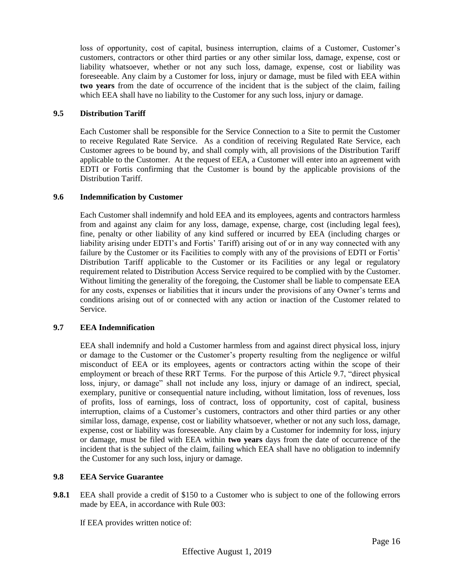loss of opportunity, cost of capital, business interruption, claims of a Customer, Customer's customers, contractors or other third parties or any other similar loss, damage, expense, cost or liability whatsoever, whether or not any such loss, damage, expense, cost or liability was foreseeable. Any claim by a Customer for loss, injury or damage, must be filed with EEA within **two years** from the date of occurrence of the incident that is the subject of the claim, failing which EEA shall have no liability to the Customer for any such loss, injury or damage.

# **9.5 Distribution Tariff**

Each Customer shall be responsible for the Service Connection to a Site to permit the Customer to receive Regulated Rate Service. As a condition of receiving Regulated Rate Service, each Customer agrees to be bound by, and shall comply with, all provisions of the Distribution Tariff applicable to the Customer. At the request of EEA, a Customer will enter into an agreement with EDTI or Fortis confirming that the Customer is bound by the applicable provisions of the Distribution Tariff.

# **9.6 Indemnification by Customer**

Each Customer shall indemnify and hold EEA and its employees, agents and contractors harmless from and against any claim for any loss, damage, expense, charge, cost (including legal fees), fine, penalty or other liability of any kind suffered or incurred by EEA (including charges or liability arising under EDTI's and Fortis' Tariff) arising out of or in any way connected with any failure by the Customer or its Facilities to comply with any of the provisions of EDTI or Fortis' Distribution Tariff applicable to the Customer or its Facilities or any legal or regulatory requirement related to Distribution Access Service required to be complied with by the Customer. Without limiting the generality of the foregoing, the Customer shall be liable to compensate EEA for any costs, expenses or liabilities that it incurs under the provisions of any Owner's terms and conditions arising out of or connected with any action or inaction of the Customer related to Service.

# **9.7 EEA Indemnification**

EEA shall indemnify and hold a Customer harmless from and against direct physical loss, injury or damage to the Customer or the Customer's property resulting from the negligence or wilful misconduct of EEA or its employees, agents or contractors acting within the scope of their employment or breach of these RRT Terms. For the purpose of this Article 9.7, "direct physical loss, injury, or damage" shall not include any loss, injury or damage of an indirect, special, exemplary, punitive or consequential nature including, without limitation, loss of revenues, loss of profits, loss of earnings, loss of contract, loss of opportunity, cost of capital, business interruption, claims of a Customer's customers, contractors and other third parties or any other similar loss, damage, expense, cost or liability whatsoever, whether or not any such loss, damage, expense, cost or liability was foreseeable. Any claim by a Customer for indemnity for loss, injury or damage, must be filed with EEA within **two years** days from the date of occurrence of the incident that is the subject of the claim, failing which EEA shall have no obligation to indemnify the Customer for any such loss, injury or damage.

# **9.8 EEA Service Guarantee**

**9.8.1** EEA shall provide a credit of \$150 to a Customer who is subject to one of the following errors made by EEA, in accordance with Rule 003:

If EEA provides written notice of: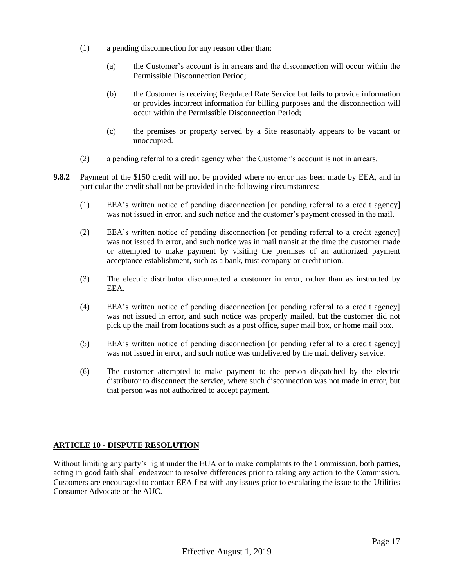- (1) a pending disconnection for any reason other than:
	- (a) the Customer's account is in arrears and the disconnection will occur within the Permissible Disconnection Period;
	- (b) the Customer is receiving Regulated Rate Service but fails to provide information or provides incorrect information for billing purposes and the disconnection will occur within the Permissible Disconnection Period;
	- (c) the premises or property served by a Site reasonably appears to be vacant or unoccupied.
- (2) a pending referral to a credit agency when the Customer's account is not in arrears.
- **9.8.2** Payment of the \$150 credit will not be provided where no error has been made by EEA, and in particular the credit shall not be provided in the following circumstances:
	- (1) EEA's written notice of pending disconnection [or pending referral to a credit agency] was not issued in error, and such notice and the customer's payment crossed in the mail.
	- (2) EEA's written notice of pending disconnection [or pending referral to a credit agency] was not issued in error, and such notice was in mail transit at the time the customer made or attempted to make payment by visiting the premises of an authorized payment acceptance establishment, such as a bank, trust company or credit union.
	- (3) The electric distributor disconnected a customer in error, rather than as instructed by EEA.
	- (4) EEA's written notice of pending disconnection [or pending referral to a credit agency] was not issued in error, and such notice was properly mailed, but the customer did not pick up the mail from locations such as a post office, super mail box, or home mail box.
	- (5) EEA's written notice of pending disconnection [or pending referral to a credit agency] was not issued in error, and such notice was undelivered by the mail delivery service.
	- (6) The customer attempted to make payment to the person dispatched by the electric distributor to disconnect the service, where such disconnection was not made in error, but that person was not authorized to accept payment.

# **ARTICLE 10 - DISPUTE RESOLUTION**

Without limiting any party's right under the EUA or to make complaints to the Commission, both parties, acting in good faith shall endeavour to resolve differences prior to taking any action to the Commission. Customers are encouraged to contact EEA first with any issues prior to escalating the issue to the Utilities Consumer Advocate or the AUC.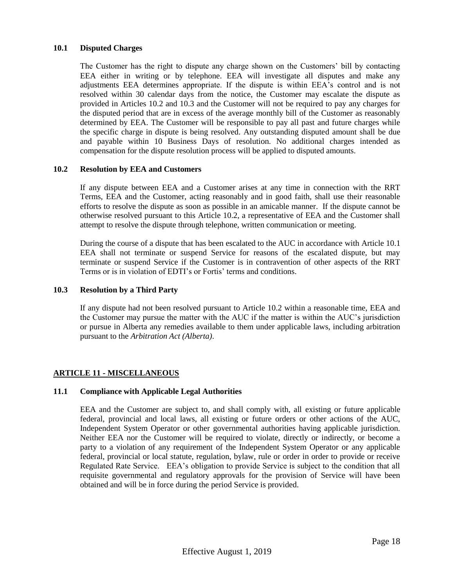# **10.1 Disputed Charges**

The Customer has the right to dispute any charge shown on the Customers' bill by contacting EEA either in writing or by telephone. EEA will investigate all disputes and make any adjustments EEA determines appropriate. If the dispute is within EEA's control and is not resolved within 30 calendar days from the notice, the Customer may escalate the dispute as provided in Articles 10.2 and 10.3 and the Customer will not be required to pay any charges for the disputed period that are in excess of the average monthly bill of the Customer as reasonably determined by EEA. The Customer will be responsible to pay all past and future charges while the specific charge in dispute is being resolved. Any outstanding disputed amount shall be due and payable within 10 Business Days of resolution. No additional charges intended as compensation for the dispute resolution process will be applied to disputed amounts.

# **10.2 Resolution by EEA and Customers**

If any dispute between EEA and a Customer arises at any time in connection with the RRT Terms, EEA and the Customer, acting reasonably and in good faith, shall use their reasonable efforts to resolve the dispute as soon as possible in an amicable manner. If the dispute cannot be otherwise resolved pursuant to this Article 10.2, a representative of EEA and the Customer shall attempt to resolve the dispute through telephone, written communication or meeting.

During the course of a dispute that has been escalated to the AUC in accordance with Article 10.1 EEA shall not terminate or suspend Service for reasons of the escalated dispute, but may terminate or suspend Service if the Customer is in contravention of other aspects of the RRT Terms or is in violation of EDTI's or Fortis' terms and conditions.

#### **10.3 Resolution by a Third Party**

If any dispute had not been resolved pursuant to Article 10.2 within a reasonable time, EEA and the Customer may pursue the matter with the AUC if the matter is within the AUC's jurisdiction or pursue in Alberta any remedies available to them under applicable laws, including arbitration pursuant to the *Arbitration Act (Alberta)*.

# **ARTICLE 11 - MISCELLANEOUS**

# **11.1 Compliance with Applicable Legal Authorities**

EEA and the Customer are subject to, and shall comply with, all existing or future applicable federal, provincial and local laws, all existing or future orders or other actions of the AUC, Independent System Operator or other governmental authorities having applicable jurisdiction. Neither EEA nor the Customer will be required to violate, directly or indirectly, or become a party to a violation of any requirement of the Independent System Operator or any applicable federal, provincial or local statute, regulation, bylaw, rule or order in order to provide or receive Regulated Rate Service. EEA's obligation to provide Service is subject to the condition that all requisite governmental and regulatory approvals for the provision of Service will have been obtained and will be in force during the period Service is provided.